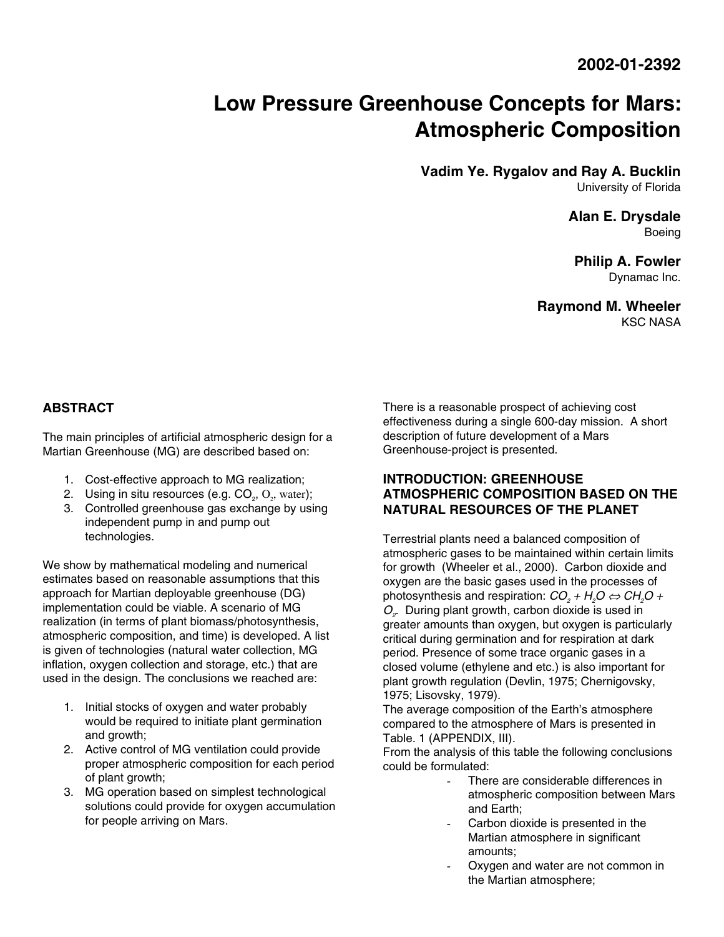# **Low Pressure Greenhouse Concepts for Mars: Atmospheric Composition**

# **Vadim Ye. Rygalov and Ray A. Bucklin**

University of Florida

#### **Alan E. Drysdale**  Boeing

## **Philip A. Fowler**  Dynamac Inc.

#### **Raymond M. Wheeler**  KSC NASA

# **ABSTRACT**

The main principles of artificial atmospheric design for a Martian Greenhouse (MG) are described based on:

- 1. Cost-effective approach to MG realization;
- 2. Using in situ resources (e.g.  $CO<sub>2</sub>, O<sub>2</sub>,$  water);
- 3. Controlled greenhouse gas exchange by using independent pump in and pump out technologies.

We show by mathematical modeling and numerical estimates based on reasonable assumptions that this approach for Martian deployable greenhouse (DG) implementation could be viable. A scenario of MG realization (in terms of plant biomass/photosynthesis, atmospheric composition, and time) is developed. A list is given of technologies (natural water collection, MG inflation, oxygen collection and storage, etc.) that are used in the design. The conclusions we reached are:

- 1. Initial stocks of oxygen and water probably would be required to initiate plant germination and growth;
- 2. Active control of MG ventilation could provide proper atmospheric composition for each period of plant growth;
- 3. MG operation based on simplest technological solutions could provide for oxygen accumulation for people arriving on Mars.

There is a reasonable prospect of achieving cost effectiveness during a single 600-day mission. A short description of future development of a Mars Greenhouse-project is presented.

#### **INTRODUCTION: GREENHOUSE ATMOSPHERIC COMPOSITION BASED ON THE NATURAL RESOURCES OF THE PLANET**

Terrestrial plants need a balanced composition of atmospheric gases to be maintained within certain limits for growth (Wheeler et al., 2000). Carbon dioxide and oxygen are the basic gases used in the processes of photosynthesis and respiration:  $CO_2 + H_2O \Leftrightarrow CH_2O +$ *O2*. During plant growth, carbon dioxide is used in greater amounts than oxygen, but oxygen is particularly critical during germination and for respiration at dark period. Presence of some trace organic gases in a closed volume (ethylene and etc.) is also important for plant growth regulation (Devlin, 1975; Chernigovsky, 1975; Lisovsky, 1979).

The average composition of the Earth's atmosphere compared to the atmosphere of Mars is presented in Table. 1 (APPENDIX, III).

From the analysis of this table the following conclusions could be formulated:

- There are considerable differences in atmospheric composition between Mars and Earth;
- Carbon dioxide is presented in the Martian atmosphere in significant amounts;
- Oxygen and water are not common in the Martian atmosphere;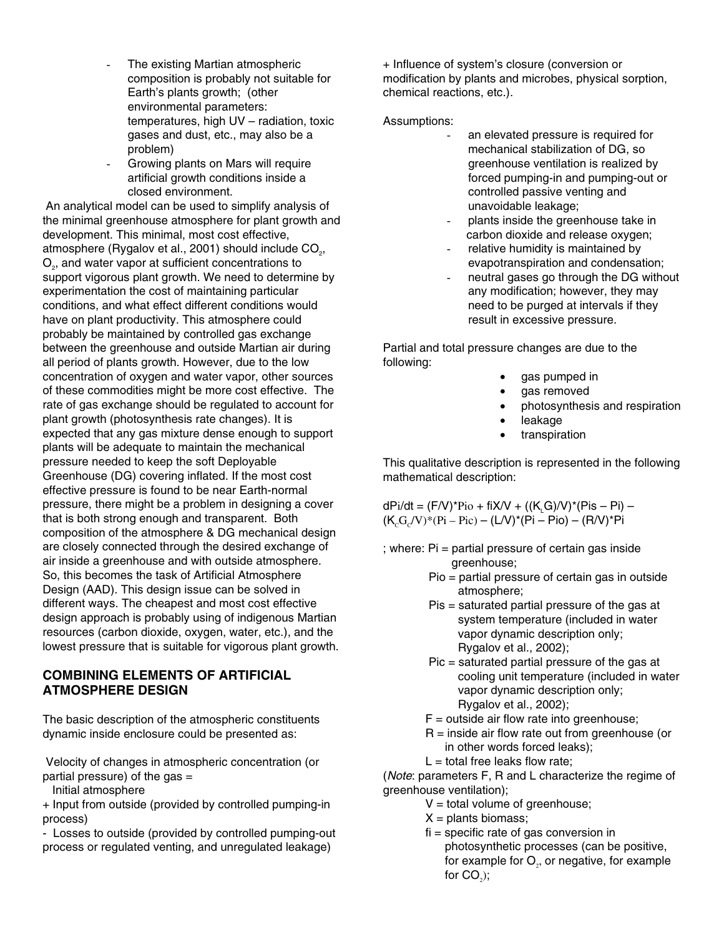- The existing Martian atmospheric composition is probably not suitable for Earth's plants growth; (other environmental parameters: temperatures, high UV – radiation, toxic gases and dust, etc., may also be a problem)
- Growing plants on Mars will require artificial growth conditions inside a closed environment.

 An analytical model can be used to simplify analysis of the minimal greenhouse atmosphere for plant growth and development. This minimal, most cost effective, atmosphere (Rygalov et al., 2001) should include  $CO<sub>2</sub>$ , O<sub>2</sub>, and water vapor at sufficient concentrations to support vigorous plant growth. We need to determine by experimentation the cost of maintaining particular conditions, and what effect different conditions would have on plant productivity. This atmosphere could probably be maintained by controlled gas exchange between the greenhouse and outside Martian air during all period of plants growth. However, due to the low concentration of oxygen and water vapor, other sources of these commodities might be more cost effective. The rate of gas exchange should be regulated to account for plant growth (photosynthesis rate changes). It is expected that any gas mixture dense enough to support plants will be adequate to maintain the mechanical pressure needed to keep the soft Deployable Greenhouse (DG) covering inflated. If the most cost effective pressure is found to be near Earth-normal pressure, there might be a problem in designing a cover that is both strong enough and transparent. Both composition of the atmosphere & DG mechanical design are closely connected through the desired exchange of air inside a greenhouse and with outside atmosphere. So, this becomes the task of Artificial Atmosphere Design (AAD). This design issue can be solved in different ways. The cheapest and most cost effective design approach is probably using of indigenous Martian resources (carbon dioxide, oxygen, water, etc.), and the lowest pressure that is suitable for vigorous plant growth.

#### **COMBINING ELEMENTS OF ARTIFICIAL ATMOSPHERE DESIGN**

The basic description of the atmospheric constituents dynamic inside enclosure could be presented as:

 Velocity of changes in atmospheric concentration (or partial pressure) of the gas =

Initial atmosphere

+ Input from outside (provided by controlled pumping-in process)

- Losses to outside (provided by controlled pumping-out process or regulated venting, and unregulated leakage)

+ Influence of system's closure (conversion or modification by plants and microbes, physical sorption, chemical reactions, etc.).

Assumptions:

- an elevated pressure is required for mechanical stabilization of DG, so greenhouse ventilation is realized by forced pumping-in and pumping-out or controlled passive venting and unavoidable leakage;
- plants inside the greenhouse take in carbon dioxide and release oxygen;
- relative humidity is maintained by evapotranspiration and condensation;
- neutral gases go through the DG without any modification; however, they may need to be purged at intervals if they result in excessive pressure.

Partial and total pressure changes are due to the following:

- gas pumped in
- gas removed
- photosynthesis and respiration
- **leakage**
- transpiration

This qualitative description is represented in the following mathematical description:

 $dPi/dt = (F/V)^*Pio + fiX/V + ((K<sub>i</sub>G)/V)^*(Pis - Pi) (K_cG_c/V)*(Pi - Pic) - (L/V)*(Pi - Pio) - (R/V)*Pi$ 

- ; where: Pi = partial pressure of certain gas inside greenhouse;
	- Pio = partial pressure of certain gas in outside atmosphere;
	- Pis = saturated partial pressure of the gas at system temperature (included in water vapor dynamic description only; Rygalov et al., 2002);
	- Pic = saturated partial pressure of the gas at cooling unit temperature (included in water vapor dynamic description only; Rygalov et al., 2002);
	- $F =$  outside air flow rate into greenhouse;
	- $R =$  inside air flow rate out from greenhouse (or in other words forced leaks);
	- $L =$  total free leaks flow rate;

(*Note*: parameters F, R and L characterize the regime of greenhouse ventilation);

- $V =$  total volume of greenhouse;
- $X =$  plants biomass;
- fi = specific rate of gas conversion in photosynthetic processes (can be positive, for example for  $O<sub>2</sub>$ , or negative, for example for  $CO<sub>2</sub>$ );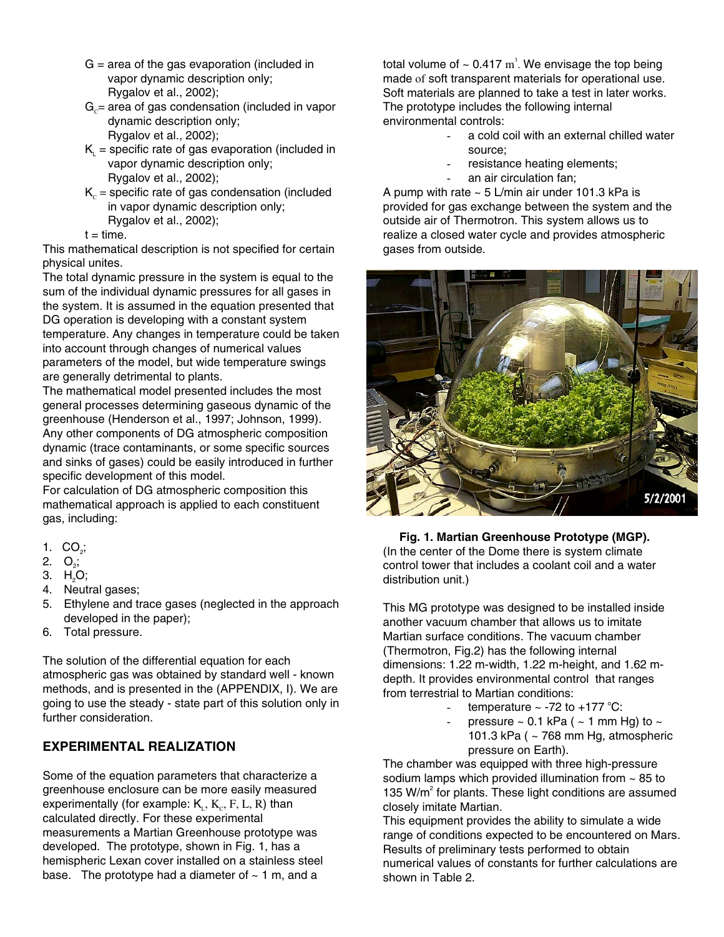- $G =$  area of the gas evaporation (included in vapor dynamic description only; Rygalov et al., 2002);
- $G<sub>c</sub>=$  area of gas condensation (included in vapor dynamic description only; Rygalov et al., 2002);
- $K =$  specific rate of gas evaporation (included in vapor dynamic description only; Rygalov et al., 2002);
- $K_c$  = specific rate of gas condensation (included in vapor dynamic description only; Rygalov et al., 2002);
- $t = time$ .

This mathematical description is not specified for certain physical unites.

The total dynamic pressure in the system is equal to the sum of the individual dynamic pressures for all gases in the system. It is assumed in the equation presented that DG operation is developing with a constant system temperature. Any changes in temperature could be taken into account through changes of numerical values parameters of the model, but wide temperature swings are generally detrimental to plants.

The mathematical model presented includes the most general processes determining gaseous dynamic of the greenhouse (Henderson et al., 1997; Johnson, 1999). Any other components of DG atmospheric composition dynamic (trace contaminants, or some specific sources and sinks of gases) could be easily introduced in further specific development of this model.

For calculation of DG atmospheric composition this mathematical approach is applied to each constituent gas, including:

- 1.  $CO_2$ ;
- 2.  $Q_2$ ;
- $3. H<sub>2</sub>O;$
- 4. Neutral gases;
- 5. Ethylene and trace gases (neglected in the approach developed in the paper);
- 6. Total pressure.

The solution of the differential equation for each atmospheric gas was obtained by standard well - known methods, and is presented in the (APPENDIX, I). We are going to use the steady - state part of this solution only in further consideration.

### **EXPERIMENTAL REALIZATION**

Some of the equation parameters that characterize a greenhouse enclosure can be more easily measured experimentally (for example:  $K_1, K_2, F, L, R$ ) than calculated directly. For these experimental measurements a Martian Greenhouse prototype was developed. The prototype, shown in Fig. 1, has a hemispheric Lexan cover installed on a stainless steel base. The prototype had a diameter of  $\sim$  1 m, and a

total volume of  $\sim$  0.417  $\text{m}^3$ . We envisage the top being made of soft transparent materials for operational use. Soft materials are planned to take a test in later works. The prototype includes the following internal environmental controls:

- a cold coil with an external chilled water source;
- resistance heating elements;
- an air circulation fan:

A pump with rate  $\sim$  5 L/min air under 101.3 kPa is provided for gas exchange between the system and the outside air of Thermotron. This system allows us to realize a closed water cycle and provides atmospheric gases from outside.



 **Fig. 1. Martian Greenhouse Prototype (MGP).**  (In the center of the Dome there is system climate control tower that includes a coolant coil and a water distribution unit.)

This MG prototype was designed to be installed inside another vacuum chamber that allows us to imitate Martian surface conditions. The vacuum chamber (Thermotron, Fig.2) has the following internal dimensions: 1.22 m-width, 1.22 m-height, and 1.62 mdepth. It provides environmental control that ranges from terrestrial to Martian conditions:

- temperature  $\sim$  -72 to +177 °C:
- pressure  $\sim$  0.1 kPa ( $\sim$  1 mm Hg) to  $\sim$ 101.3 kPa ( ~ 768 mm Hg, atmospheric pressure on Earth).

The chamber was equipped with three high-pressure sodium lamps which provided illumination from  $\sim$  85 to 135  $W/m^2$  for plants. These light conditions are assumed closely imitate Martian.

This equipment provides the ability to simulate a wide range of conditions expected to be encountered on Mars. Results of preliminary tests performed to obtain numerical values of constants for further calculations are shown in Table 2.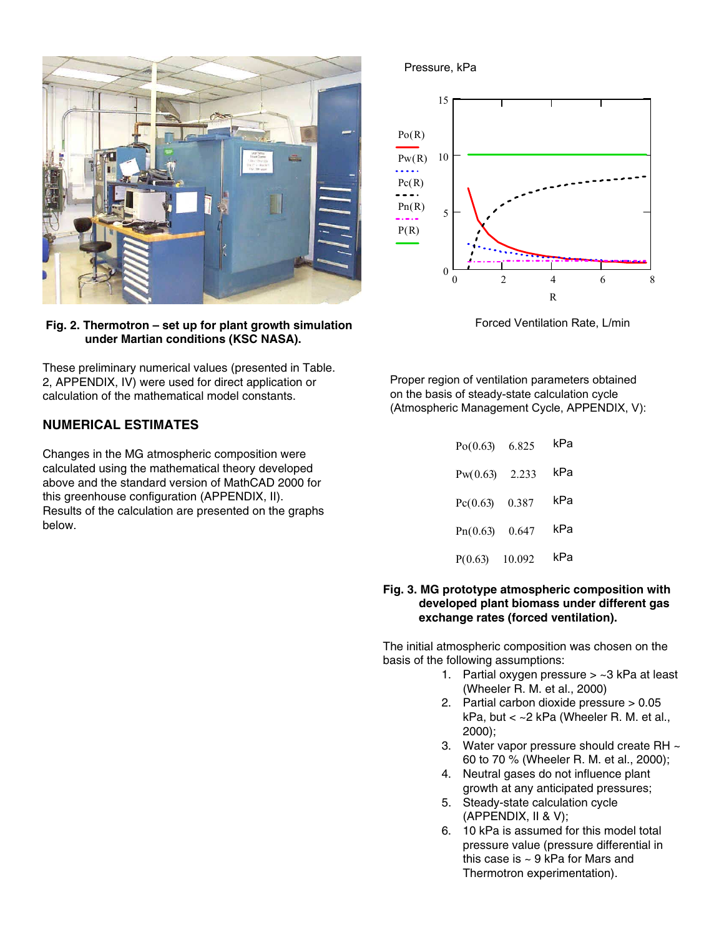

#### **Fig. 2. Thermotron – set up for plant growth simulation under Martian conditions (KSC NASA).**

These preliminary numerical values (presented in Table. 2, APPENDIX, IV) were used for direct application or calculation of the mathematical model constants.

# **NUMERICAL ESTIMATES**

Changes in the MG atmospheric composition were calculated using the mathematical theory developed above and the standard version of MathCAD 2000 for this greenhouse configuration (APPENDIX, II). Results of the calculation are presented on the graphs below.

Pressure, kPa



Forced Ventilation Rate, L/min

Proper region of ventilation parameters obtained on the basis of steady-state calculation cycle (Atmospheric Management Cycle, APPENDIX, V):

| Po(0.63)      | 6.825  | kPa |
|---------------|--------|-----|
| $P_{W}(0.63)$ | 2.233  | kPa |
| Pc(0.63)      | 0.387  | kPa |
| Pn(0.63)      | 0.647  | kPa |
| P(0.63)       | 10.092 | kPa |

#### **Fig. 3. MG prototype atmospheric composition with developed plant biomass under different gas exchange rates (forced ventilation).**

The initial atmospheric composition was chosen on the basis of the following assumptions:

- 1. Partial oxygen pressure  $>$  ~3 kPa at least (Wheeler R. M. et al., 2000)
- 2. Partial carbon dioxide pressure > 0.05 kPa, but < ~2 kPa (Wheeler R. M. et al., 2000);
- 3. Water vapor pressure should create RH  $\sim$ 60 to 70 % (Wheeler R. M. et al., 2000);
- 4. Neutral gases do not influence plant growth at any anticipated pressures;
- 5. Steady-state calculation cycle (APPENDIX, II & V);
- 6. 10 kPa is assumed for this model total pressure value (pressure differential in this case is  $\sim$  9 kPa for Mars and Thermotron experimentation).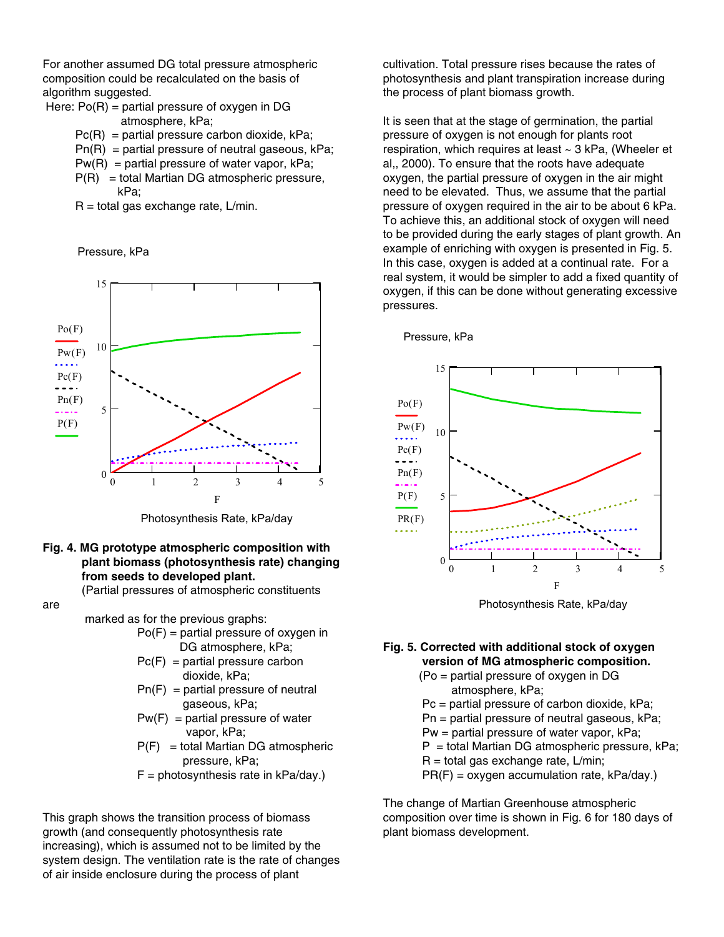For another assumed DG total pressure atmospheric composition could be recalculated on the basis of algorithm suggested.

- Here:  $Po(R) =$  partial pressure of oxygen in DG atmosphere, kPa;
	- $Pc(R) =$  partial pressure carbon dioxide, kPa;
	- $Pn(R) =$  partial pressure of neutral gaseous, kPa;
	- $Pw(R) =$  partial pressure of water vapor, kPa;
	- $P(R) =$  total Martian DG atmospheric pressure, kPa;
	- $R =$  total gas exchange rate,  $L/min$ .

Pressure, kPa



Photosynthesis Rate, kPa/day

#### **Fig. 4. MG prototype atmospheric composition with plant biomass (photosynthesis rate) changing from seeds to developed plant.**

(Partial pressures of atmospheric constituents

marked as for the previous graphs:

are

- $Po(F)$  = partial pressure of oxygen in DG atmosphere, kPa;
- $Pc(F) =$  partial pressure carbon dioxide, kPa;
- $Pn(F) =$  partial pressure of neutral gaseous, kPa;
- $Pw(F) =$  partial pressure of water vapor, kPa;
- $P(F) =$  total Martian DG atmospheric pressure, kPa;
- $F =$  photosynthesis rate in kPa/day.)

This graph shows the transition process of biomass growth (and consequently photosynthesis rate increasing), which is assumed not to be limited by the system design. The ventilation rate is the rate of changes of air inside enclosure during the process of plant

cultivation. Total pressure rises because the rates of photosynthesis and plant transpiration increase during the process of plant biomass growth.

It is seen that at the stage of germination, the partial pressure of oxygen is not enough for plants root respiration, which requires at least ~ 3 kPa, (Wheeler et al,, 2000). To ensure that the roots have adequate oxygen, the partial pressure of oxygen in the air might need to be elevated. Thus, we assume that the partial pressure of oxygen required in the air to be about 6 kPa. To achieve this, an additional stock of oxygen will need to be provided during the early stages of plant growth. An example of enriching with oxygen is presented in Fig. 5. In this case, oxygen is added at a continual rate. For a real system, it would be simpler to add a fixed quantity of oxygen, if this can be done without generating excessive pressures.



Pressure, kPa

Photosynthesis Rate, kPa/day

### **Fig. 5. Corrected with additional stock of oxygen version of MG atmospheric composition.**

- (Po = partial pressure of oxygen in DG atmosphere, kPa;
- Pc = partial pressure of carbon dioxide, kPa;
- Pn = partial pressure of neutral gaseous, kPa;
- Pw = partial pressure of water vapor, kPa;
- $P =$  total Martian DG atmospheric pressure, kPa;
- $R =$  total gas exchange rate,  $L/min$ ;
- $PR(F) = oxygen accumulation rate, kPa/day.$ )

The change of Martian Greenhouse atmospheric composition over time is shown in Fig. 6 for 180 days of plant biomass development.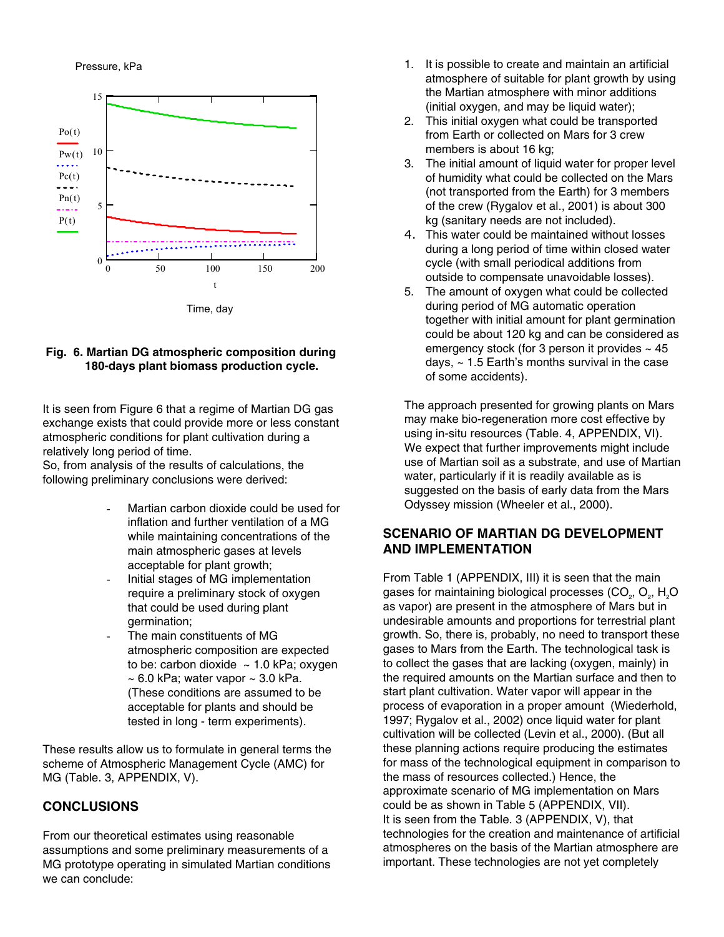Pressure, kPa



# **Fig. 6. Martian DG atmospheric composition during 180-days plant biomass production cycle.**

It is seen from Figure 6 that a regime of Martian DG gas exchange exists that could provide more or less constant atmospheric conditions for plant cultivation during a relatively long period of time.

So, from analysis of the results of calculations, the following preliminary conclusions were derived:

- Martian carbon dioxide could be used for inflation and further ventilation of a MG while maintaining concentrations of the main atmospheric gases at levels acceptable for plant growth;
- Initial stages of MG implementation require a preliminary stock of oxygen that could be used during plant germination;
- The main constituents of MG atmospheric composition are expected to be: carbon dioxide  $\sim$  1.0 kPa; oxygen  $\sim$  6.0 kPa; water vapor  $\sim$  3.0 kPa. (These conditions are assumed to be acceptable for plants and should be tested in long - term experiments).

These results allow us to formulate in general terms the scheme of Atmospheric Management Cycle (AMC) for MG (Table. 3, APPENDIX, V).

# **CONCLUSIONS**

From our theoretical estimates using reasonable assumptions and some preliminary measurements of a MG prototype operating in simulated Martian conditions we can conclude:

- 1. It is possible to create and maintain an artificial atmosphere of suitable for plant growth by using the Martian atmosphere with minor additions (initial oxygen, and may be liquid water);
- 2. This initial oxygen what could be transported from Earth or collected on Mars for 3 crew members is about 16 kg;
- 3. The initial amount of liquid water for proper level of humidity what could be collected on the Mars (not transported from the Earth) for 3 members of the crew (Rygalov et al., 2001) is about 300 kg (sanitary needs are not included).
- 4. This water could be maintained without losses during a long period of time within closed water cycle (with small periodical additions from outside to compensate unavoidable losses).
- 5. The amount of oxygen what could be collected during period of MG automatic operation together with initial amount for plant germination could be about 120 kg and can be considered as emergency stock (for 3 person it provides  $\sim$  45 days, ~ 1.5 Earth's months survival in the case of some accidents).

The approach presented for growing plants on Mars may make bio-regeneration more cost effective by using in-situ resources (Table. 4, APPENDIX, VI). We expect that further improvements might include use of Martian soil as a substrate, and use of Martian water, particularly if it is readily available as is suggested on the basis of early data from the Mars Odyssey mission (Wheeler et al., 2000).

# **SCENARIO OF MARTIAN DG DEVELOPMENT AND IMPLEMENTATION**

From Table 1 (APPENDIX, III) it is seen that the main gases for maintaining biological processes  $(CO<sub>2</sub>, O<sub>2</sub>, H<sub>2</sub>O<sub>2</sub>)$ as vapor) are present in the atmosphere of Mars but in undesirable amounts and proportions for terrestrial plant growth. So, there is, probably, no need to transport these gases to Mars from the Earth. The technological task is to collect the gases that are lacking (oxygen, mainly) in the required amounts on the Martian surface and then to start plant cultivation. Water vapor will appear in the process of evaporation in a proper amount (Wiederhold, 1997; Rygalov et al., 2002) once liquid water for plant cultivation will be collected (Levin et al., 2000). (But all these planning actions require producing the estimates for mass of the technological equipment in comparison to the mass of resources collected.) Hence, the approximate scenario of MG implementation on Mars could be as shown in Table 5 (APPENDIX, VII). It is seen from the Table. 3 (APPENDIX, V), that technologies for the creation and maintenance of artificial atmospheres on the basis of the Martian atmosphere are important. These technologies are not yet completely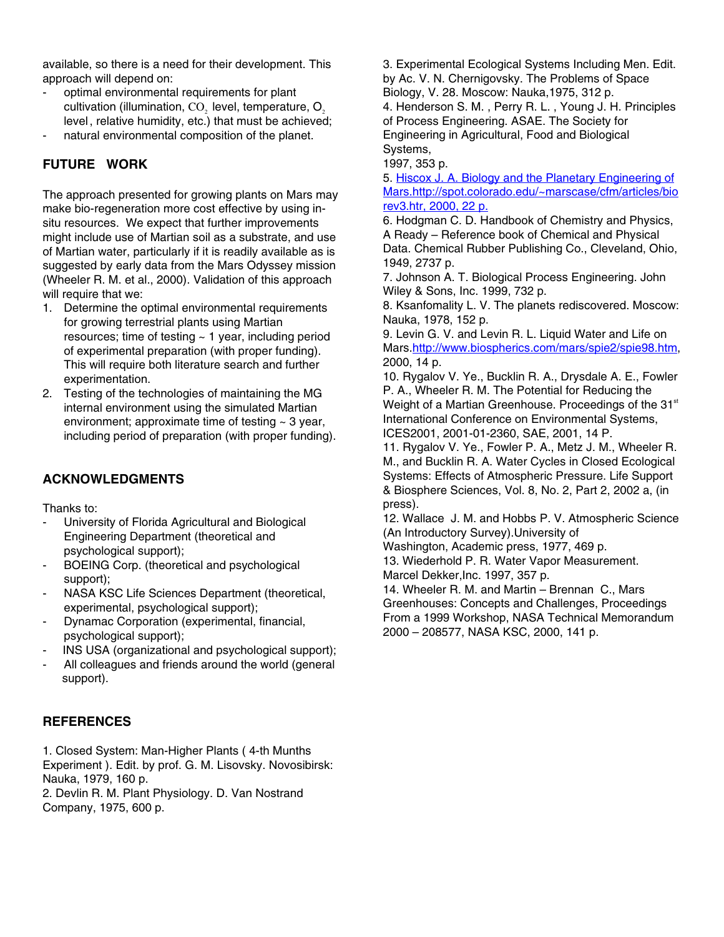available, so there is a need for their development. This approach will depend on:

- optimal environmental requirements for plant cultivation (illumination,  $CO<sub>2</sub>$  level, temperature,  $O<sub>2</sub>$ level , relative humidity, etc.) that must be achieved;
- natural environmental composition of the planet.

# **FUTURE WORK**

The approach presented for growing plants on Mars may make bio-regeneration more cost effective by using insitu resources. We expect that further improvements might include use of Martian soil as a substrate, and use of Martian water, particularly if it is readily available as is suggested by early data from the Mars Odyssey mission (Wheeler R. M. et al., 2000). Validation of this approach will require that we:

- 1. Determine the optimal environmental requirements for growing terrestrial plants using Martian resources; time of testing  $\sim$  1 year, including period of experimental preparation (with proper funding). This will require both literature search and further experimentation.
- 2. Testing of the technologies of maintaining the MG internal environment using the simulated Martian environment; approximate time of testing  $\sim$  3 year, including period of preparation (with proper funding).

# **ACKNOWLEDGMENTS**

Thanks to:

- University of Florida Agricultural and Biological Engineering Department (theoretical and psychological support);
- BOEING Corp. (theoretical and psychological support);
- NASA KSC Life Sciences Department (theoretical, experimental, psychological support);
- Dynamac Corporation (experimental, financial, psychological support);
- INS USA (organizational and psychological support);
- All colleagues and friends around the world (general support).

### **REFERENCES**

1. Closed System: Man-Higher Plants ( 4-th Munths Experiment ). Edit. by prof. G. M. Lisovsky. Novosibirsk: Nauka, 1979, 160 p.

2. Devlin R. M. Plant Physiology. D. Van Nostrand Company, 1975, 600 p.

3. Experimental Ecological Systems Including Men. Edit. by Ac. V. N. Chernigovsky. The Problems of Space Biology, V. 28. Moscow: Nauka,1975, 312 p.

4. Henderson S. M. , Perry R. L. , Young J. H. Principles of Process Engineering. ASAE. The Society for Engineering in Agricultural, Food and Biological Systems,

1997, 353 p.

5. Hiscox J. A. Biology and the Planetary Engineering of Mars.http://spot.colorado.edu/~marscase/cfm/articles/bio rev3.htr, 2000, 22 p.

6. Hodgman C. D. Handbook of Chemistry and Physics, A Ready – Reference book of Chemical and Physical Data. Chemical Rubber Publishing Co., Cleveland, Ohio, 1949, 2737 p.

7. Johnson A. T. Biological Process Engineering. John Wiley & Sons, Inc. 1999, 732 p.

8. Ksanfomality L. V. The planets rediscovered. Moscow: Nauka, 1978, 152 p.

9. Levin G. V. and Levin R. L. Liquid Water and Life on Mars.http://www.biospherics.com/mars/spie2/spie98.htm, 2000, 14 p.

10. Rygalov V. Ye., Bucklin R. A., Drysdale A. E., Fowler P. A., Wheeler R. M. The Potential for Reducing the Weight of a Martian Greenhouse. Proceedings of the  $31<sup>st</sup>$ International Conference on Environmental Systems, ICES2001, 2001-01-2360, SAE, 2001, 14 P.

11. Rygalov V. Ye., Fowler P. A., Metz J. M., Wheeler R. M., and Bucklin R. A. Water Cycles in Closed Ecological Systems: Effects of Atmospheric Pressure. Life Support & Biosphere Sciences, Vol. 8, No. 2, Part 2, 2002 a, (in press).

12. Wallace J. M. and Hobbs P. V. Atmospheric Science (An Introductory Survey).University of

Washington, Academic press, 1977, 469 p.

13. Wiederhold P. R. Water Vapor Measurement. Marcel Dekker,Inc. 1997, 357 p.

14. Wheeler R. M. and Martin – Brennan C., Mars Greenhouses: Concepts and Challenges, Proceedings From a 1999 Workshop, NASA Technical Memorandum 2000 – 208577, NASA KSC, 2000, 141 p.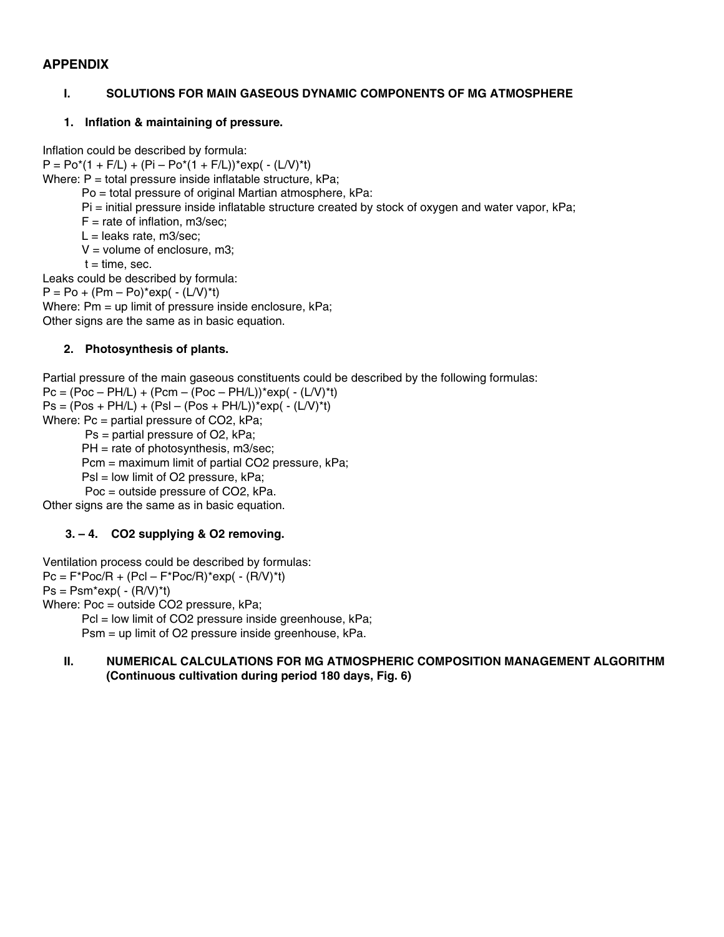# **APPENDIX**

#### **I. SOLUTIONS FOR MAIN GASEOUS DYNAMIC COMPONENTS OF MG ATMOSPHERE**

#### **1. Inflation & maintaining of pressure.**

Inflation could be described by formula:  $P = Po^{*}(1 + F/L) + (Pi - Po^{*}(1 + F/L))^{*} exp(- (L/V)^{*}t)$ Where:  $P =$  total pressure inside inflatable structure, kPa; Po = total pressure of original Martian atmosphere, kPa:  $Pi$  = initial pressure inside inflatable structure created by stock of oxygen and water vapor, kPa;  $F =$  rate of inflation, m3/sec:  $L =$  leaks rate, m3/sec;  $V =$  volume of enclosure, m3:  $t = time$ , sec. Leaks could be described by formula:  $P = Po + (Pm - Po)^*exp(- (LV)^*t)$ Where: Pm = up limit of pressure inside enclosure, kPa; Other signs are the same as in basic equation.

#### **2. Photosynthesis of plants.**

Partial pressure of the main gaseous constituents could be described by the following formulas:  $PC = (Poc - PH/L) + (Pcm - (Poc - PH/L))^* exp(- (L/V)^* t)$  $Ps = (Pos + PH/L) + (PsI - (Pos + PH/L))^* exp(- (LV)^*t)$ Where: Pc = partial pressure of CO2, kPa; Ps = partial pressure of O2, kPa; PH = rate of photosynthesis, m3/sec;

Pcm = maximum limit of partial CO2 pressure, kPa;

Psl = low limit of O2 pressure, kPa;

 Poc = outside pressure of CO2, kPa. Other signs are the same as in basic equation.

# **3. – 4. CO2 supplying & O2 removing.**

Ventilation process could be described by formulas:

 $Pc = F^*Poc/R + (Pcl - F^*Poc/R)^*exp(- (R/V)^*t)$ 

 $Ps = Psm*exp(- (R/V)*t)$ 

Where: Poc = outside CO2 pressure, kPa;

Pcl = low limit of CO2 pressure inside greenhouse, kPa;

Psm = up limit of O2 pressure inside greenhouse, kPa.

#### **II. NUMERICAL CALCULATIONS FOR MG ATMOSPHERIC COMPOSITION MANAGEMENT ALGORITHM (Continuous cultivation during period 180 days, Fig. 6)**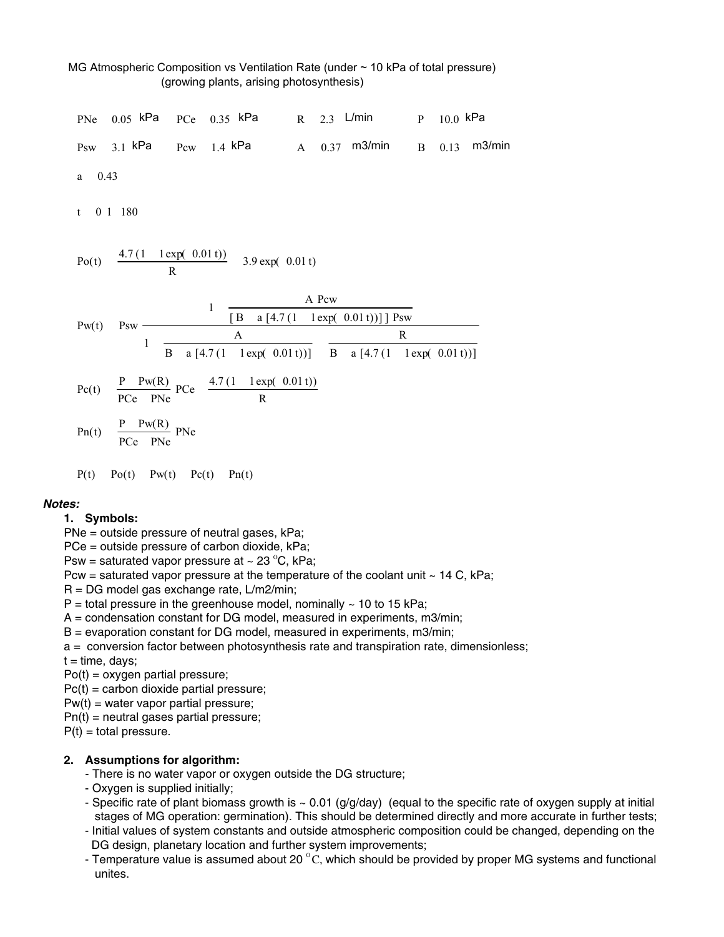# $\text{Pn}(t) = \frac{\text{P} - \text{Pw}(R)}{\text{PCe} - \text{PNe}}$  PNe  $Pc(t) = \frac{P Pw(R)}{P}$ PCe PNe  $\frac{P Pw(R)}{PCe PNe}PCe$   $\frac{4.7 (1 \text{1 exp}(\text{0.01 t}))}{R}$  $Pw(t)$   $Psw -$ 1 A Pcw  $[B \ a [4.7 (1 \ 1 \exp(0.01 t))] ]$  Psw 1 A B a  $[4.7(1 \text{ } 1 \text{ exp}(0.01 \text{ t}))]$  B a  $[4.7(1 \text{ } 1 \text{ exp}(0.01 \text{ t}))]$ R Po(t)  $\frac{4.7 (1 \text{ 1exp(0.01 t)})}{ }$  $3.9 \exp(0.01 t)$ t 01 180 a 0.43  $P_{SW}$  3.1 kPa  $P_{CW}$  1.4 kPa  $A$  0.37 m3/min  $B$  0.13 m3/min PNe  $0.05$  kPa PCe  $0.35$  kPa R  $2.3$  L/min P  $10.0$  kPa MG Atmospheric Composition vs Ventilation Rate (under ~ 10 kPa of total pressure) (growing plants, arising photosynthesis)

$$
P(t) \quad Po(t) \quad Pw(t) \quad Pc(t) \quad Pn(t)
$$

#### *Notes:*

#### **1. Symbols:**

PNe = outside pressure of neutral gases, kPa;

PCe = outside pressure of carbon dioxide, kPa;

Psw = saturated vapor pressure at  $\sim$  23 <sup>o</sup>C, kPa;

Pcw = saturated vapor pressure at the temperature of the coolant unit  $\sim$  14 C, kPa;

 $R = DG$  model gas exchange rate,  $L/m2/min$ ;

 $P =$  total pressure in the greenhouse model, nominally  $\sim$  10 to 15 kPa;

A = condensation constant for DG model, measured in experiments, m3/min;

B = evaporation constant for DG model, measured in experiments, m3/min;

a = conversion factor between photosynthesis rate and transpiration rate, dimensionless;

 $t = time$ , days;

 $Po(t) = oxygen$  partial pressure;

 $Pc(t) =$  carbon dioxide partial pressure;

 $Pw(t) = water vapor partial pressure;$ 

 $Pn(t)$  = neutral gases partial pressure;

 $P(t) =$  total pressure.

#### **2. Assumptions for algorithm:**

- There is no water vapor or oxygen outside the DG structure;
- Oxygen is supplied initially;
- Specific rate of plant biomass growth is  $\sim 0.01$  (g/g/day) (equal to the specific rate of oxygen supply at initial stages of MG operation: germination). This should be determined directly and more accurate in further tests;
- Initial values of system constants and outside atmospheric composition could be changed, depending on the DG design, planetary location and further system improvements;
- Temperature value is assumed about 20  $\rm{^{\circ}C}$ , which should be provided by proper MG systems and functional unites.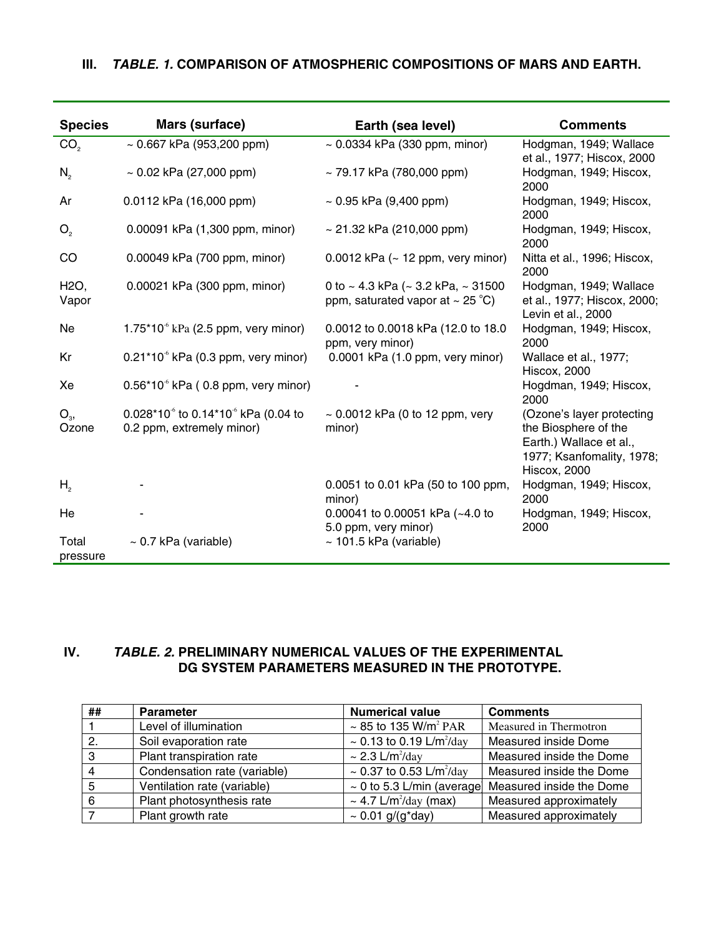# **III.** *TABLE. 1.* **COMPARISON OF ATMOSPHERIC COMPOSITIONS OF MARS AND EARTH.**

| <b>Species</b>             | Mars (surface)                                                                    | Earth (sea level)                                                                           | <b>Comments</b>                                                                                                                  |
|----------------------------|-----------------------------------------------------------------------------------|---------------------------------------------------------------------------------------------|----------------------------------------------------------------------------------------------------------------------------------|
| CO <sub>2</sub>            | $\sim 0.667$ kPa (953,200 ppm)                                                    | $\sim 0.0334$ kPa (330 ppm, minor)                                                          | Hodgman, 1949; Wallace                                                                                                           |
|                            |                                                                                   |                                                                                             | et al., 1977; Hiscox, 2000                                                                                                       |
| $N_{2}$                    | $\sim 0.02$ kPa (27,000 ppm)                                                      | $\sim$ 79.17 kPa (780,000 ppm)                                                              | Hodgman, 1949; Hiscox,<br>2000                                                                                                   |
| Ar                         | 0.0112 kPa (16,000 ppm)                                                           | $\sim$ 0.95 kPa (9,400 ppm)                                                                 | Hodgman, 1949; Hiscox,<br>2000                                                                                                   |
| O <sub>2</sub>             | 0.00091 kPa (1,300 ppm, minor)                                                    | $\sim$ 21.32 kPa (210,000 ppm)                                                              | Hodgman, 1949; Hiscox,<br>2000                                                                                                   |
| CO                         | 0.00049 kPa (700 ppm, minor)                                                      | $0.0012$ kPa ( $\sim$ 12 ppm, very minor)                                                   | Nitta et al., 1996; Hiscox,<br>2000                                                                                              |
| H <sub>2</sub> O,<br>Vapor | 0.00021 kPa (300 ppm, minor)                                                      | 0 to $\sim$ 4.3 kPa ( $\sim$ 3.2 kPa, $\sim$ 31500<br>ppm, saturated vapor at $\sim$ 25 °C) | Hodgman, 1949; Wallace<br>et al., 1977; Hiscox, 2000;<br>Levin et al., 2000                                                      |
| Ne                         | $1.75*10^{6}$ kPa (2.5 ppm, very minor)                                           | 0.0012 to 0.0018 kPa (12.0 to 18.0<br>ppm, very minor)                                      | Hodgman, 1949; Hiscox,<br>2000                                                                                                   |
| Kr                         | $0.21*10-6$ kPa (0.3 ppm, very minor)                                             | 0.0001 kPa (1.0 ppm, very minor)                                                            | Wallace et al., 1977;<br>Hiscox, 2000                                                                                            |
| Xe                         | $0.56*106$ kPa (0.8 ppm, very minor)                                              |                                                                                             | Hogdman, 1949; Hiscox,<br>2000                                                                                                   |
| $O_{\alpha}$<br>Ozone      | 0.028*10 $\degree$ to 0.14*10 $\degree$ kPa (0.04 to<br>0.2 ppm, extremely minor) | $\sim 0.0012$ kPa (0 to 12 ppm, very<br>minor)                                              | (Ozone's layer protecting<br>the Biosphere of the<br>Earth.) Wallace et al.,<br>1977; Ksanfomality, 1978;<br><b>Hiscox, 2000</b> |
| H <sub>2</sub>             |                                                                                   | 0.0051 to 0.01 kPa (50 to 100 ppm,<br>minor)                                                | Hodgman, 1949; Hiscox,<br>2000                                                                                                   |
| He                         |                                                                                   | 0.00041 to 0.00051 kPa (~4.0 to<br>5.0 ppm, very minor)                                     | Hodgman, 1949; Hiscox,<br>2000                                                                                                   |
| Total<br>pressure          | $\sim$ 0.7 kPa (variable)                                                         | $\sim$ 101.5 kPa (variable)                                                                 |                                                                                                                                  |

# **IV.** *TABLE. 2.* **PRELIMINARY NUMERICAL VALUES OF THE EXPERIMENTAL**  **DG SYSTEM PARAMETERS MEASURED IN THE PROTOTYPE.**

| ##             | <b>Parameter</b>             | <b>Numerical value</b>                | <b>Comments</b>                                         |
|----------------|------------------------------|---------------------------------------|---------------------------------------------------------|
|                | Level of illumination        | $\sim$ 85 to 135 W/m <sup>2</sup> PAR | Measured in Thermotron                                  |
| $\mathbf{2}$   | Soil evaporation rate        | ~ 0.13 to 0.19 $L/m^2$ /day           | Measured inside Dome                                    |
| 3              | Plant transpiration rate     | $\sim$ 2.3 L/m <sup>2</sup> /day      | Measured inside the Dome                                |
| $\overline{4}$ | Condensation rate (variable) | ~ 0.37 to 0.53 $L/m^2$ /day           | Measured inside the Dome                                |
| 5              | Ventilation rate (variable)  |                                       | $\sim$ 0 to 5.3 L/min (average Measured inside the Dome |
| 6              | Plant photosynthesis rate    | ~ 4.7 $L/m^2$ /day (max)              | Measured approximately                                  |
|                | Plant growth rate            | $\sim 0.01$ g/(g*day)                 | Measured approximately                                  |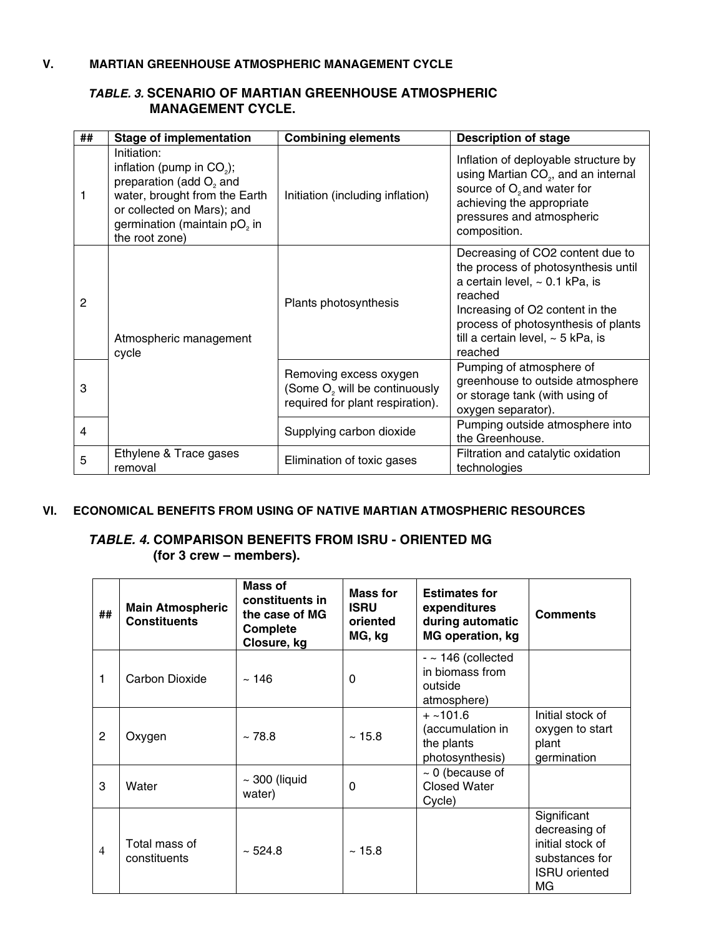#### **V. MARTIAN GREENHOUSE ATMOSPHERIC MANAGEMENT CYCLE**

# *TABLE. 3.* **SCENARIO OF MARTIAN GREENHOUSE ATMOSPHERIC MANAGEMENT CYCLE.**

| ##             | <b>Stage of implementation</b>                                                                                                                                                                                           | <b>Combining elements</b>                                                                               | <b>Description of stage</b>                                                                                                                                                                                                                         |
|----------------|--------------------------------------------------------------------------------------------------------------------------------------------------------------------------------------------------------------------------|---------------------------------------------------------------------------------------------------------|-----------------------------------------------------------------------------------------------------------------------------------------------------------------------------------------------------------------------------------------------------|
| 1              | Initiation:<br>inflation (pump in CO <sub>2</sub> );<br>preparation (add O <sub>2</sub> and<br>water, brought from the Earth<br>or collected on Mars); and<br>germination (maintain pO <sub>2</sub> in<br>the root zone) | Initiation (including inflation)                                                                        | Inflation of deployable structure by<br>using Martian CO <sub>2</sub> , and an internal<br>source of O <sub>2</sub> and water for<br>achieving the appropriate<br>pressures and atmospheric<br>composition.                                         |
| $\overline{2}$ | Atmospheric management<br>cycle                                                                                                                                                                                          | Plants photosynthesis                                                                                   | Decreasing of CO2 content due to<br>the process of photosynthesis until<br>a certain level, ~ 0.1 kPa, is<br>reached<br>Increasing of O2 content in the<br>process of photosynthesis of plants<br>till a certain level, $\sim$ 5 kPa, is<br>reached |
| 3              |                                                                                                                                                                                                                          | Removing excess oxygen<br>(Some O <sub>2</sub> will be continuously<br>required for plant respiration). | Pumping of atmosphere of<br>greenhouse to outside atmosphere<br>or storage tank (with using of<br>oxygen separator).                                                                                                                                |
| $\overline{4}$ |                                                                                                                                                                                                                          | Supplying carbon dioxide                                                                                | Pumping outside atmosphere into<br>the Greenhouse.                                                                                                                                                                                                  |
| 5              | Ethylene & Trace gases<br>removal                                                                                                                                                                                        | Elimination of toxic gases                                                                              | Filtration and catalytic oxidation<br>technologies                                                                                                                                                                                                  |

### **VI. ECONOMICAL BENEFITS FROM USING OF NATIVE MARTIAN ATMOSPHERIC RESOURCES**

# *TABLE. 4.* **COMPARISON BENEFITS FROM ISRU - ORIENTED MG (for 3 crew – members).**

| ##             | <b>Main Atmospheric</b><br><b>Constituents</b> | Mass of<br>constituents in<br>the case of MG<br>Complete<br>Closure, kg | Mass for<br><b>ISRU</b><br>oriented<br>MG, kg | <b>Estimates for</b><br>expenditures<br>during automatic<br>MG operation, kg | <b>Comments</b>                                                                                  |
|----------------|------------------------------------------------|-------------------------------------------------------------------------|-----------------------------------------------|------------------------------------------------------------------------------|--------------------------------------------------------------------------------------------------|
| 1              | Carbon Dioxide                                 | ~146                                                                    | 0                                             | $-$ ~ 146 (collected<br>in biomass from<br>outside<br>atmosphere)            |                                                                                                  |
| $\overline{2}$ | Oxygen                                         | $~1$ 78.8                                                               | ~15.8                                         | $+ -101.6$<br>(accumulation in<br>the plants<br>photosynthesis)              | Initial stock of<br>oxygen to start<br>plant<br>germination                                      |
| 3              | Water                                          | $\sim$ 300 (liquid<br>water)                                            | 0                                             | $\sim$ 0 (because of<br><b>Closed Water</b><br>Cycle)                        |                                                                                                  |
| $\overline{4}$ | Total mass of<br>constituents                  | ~524.8                                                                  | ~15.8                                         |                                                                              | Significant<br>decreasing of<br>initial stock of<br>substances for<br><b>ISRU</b> oriented<br>МG |